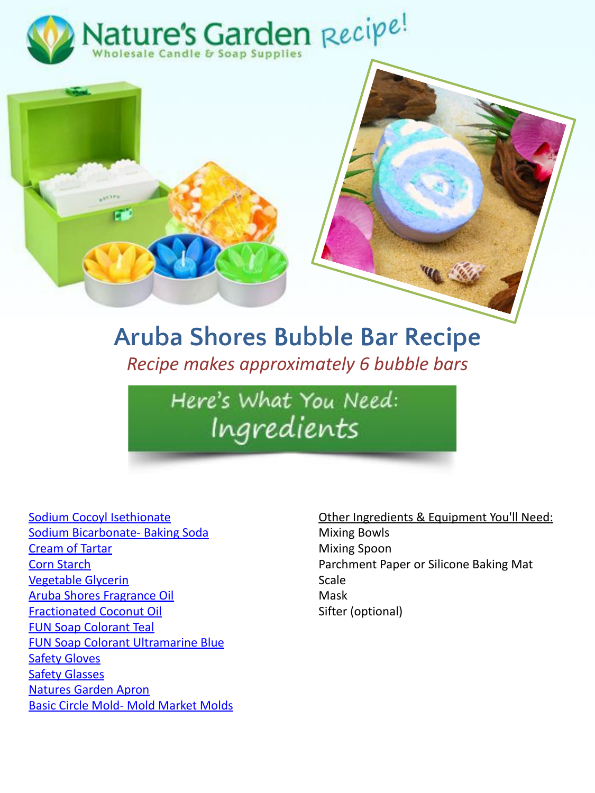



## **Aruba Shores Bubble Bar Recipe** *Recipe makes approximately 6 bubble bars*

Here's What You Need: Ingredients

[Sodium Cocoyl Isethionate](http://www.naturesgardencandles.com/sci/sodium-cocoyl-isethionate) [Sodium Bicarbonate- Baking Soda](http://www.naturesgardencandles.com/baking-soda-sodium-bicarbonate) [Cream of Tartar](http://www.naturesgardencandles.com/cream-of-tartar.html) [Corn Starch](http://www.naturesgardencandles.com/corn-starch) [Vegetable Glycerin](https://www.naturesgardencandles.com/vegetable-glycerin) [Aruba Shores Fragrance Oil](https://www.naturesgardencandles.com/aruba-shores-fragrance-oil) [Fractionated Coconut Oil](https://www.naturesgardencandles.com/fractionated-coconut-oil) [FUN Soap Colorant Teal](https://www.naturesgardencandles.com/soap-coloring/teal-fun-soap-colorant) [FUN Soap Colorant Ultramarine Blue](https://www.naturesgardencandles.com/soap-coloring/ultramarine-blue-fun-soap-colorant) **[Safety Gloves](http://www.naturesgardencandles.com/soap-making-safety-gloves)** [Safety Glasses](http://www.naturesgardencandles.com/soap-making-safety-glasses) [Natures Garden Apron](http://www.naturesgardencandles.com/soap-apron) [Basic Circle Mold- Mold Market Molds](https://www.naturesgardencandles.com/basic-circle-mold-market-molds)

#### Other Ingredients & Equipment You'll Need:

Mixing Bowls Mixing Spoon Parchment Paper or Silicone Baking Mat Scale Mask Sifter (optional)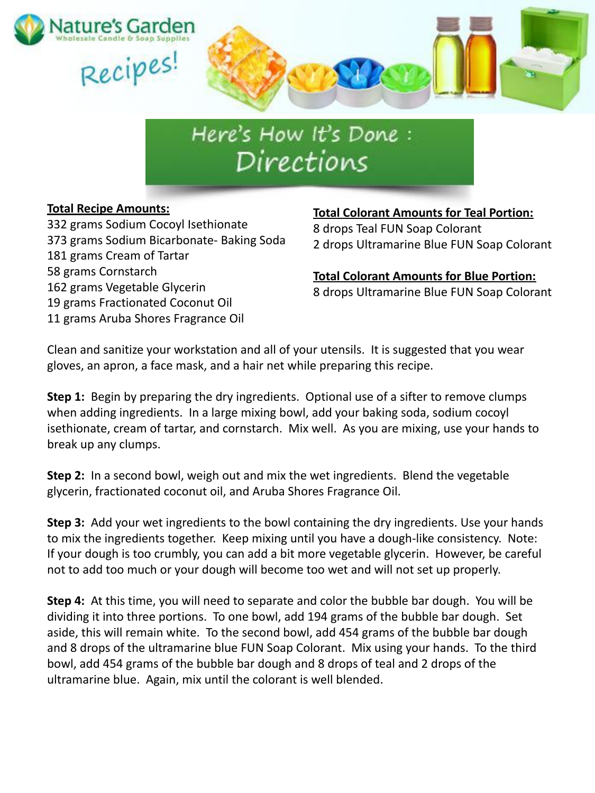

# Here's How It's Done: Directions

### **Total Recipe Amounts:**

332 grams Sodium Cocoyl Isethionate 373 grams Sodium Bicarbonate- Baking Soda 181 grams Cream of Tartar 58 grams Cornstarch 162 grams Vegetable Glycerin 19 grams Fractionated Coconut Oil 11 grams Aruba Shores Fragrance Oil

### **Total Colorant Amounts for Teal Portion:** 8 drops Teal FUN Soap Colorant 2 drops Ultramarine Blue FUN Soap Colorant

**Total Colorant Amounts for Blue Portion:** 8 drops Ultramarine Blue FUN Soap Colorant

Clean and sanitize your workstation and all of your utensils. It is suggested that you wear gloves, an apron, a face mask, and a hair net while preparing this recipe.

**Step 1:** Begin by preparing the dry ingredients. Optional use of a sifter to remove clumps when adding ingredients. In a large mixing bowl, add your baking soda, sodium cocoyl isethionate, cream of tartar, and cornstarch. Mix well. As you are mixing, use your hands to break up any clumps.

**Step 2:** In a second bowl, weigh out and mix the wet ingredients. Blend the vegetable glycerin, fractionated coconut oil, and Aruba Shores Fragrance Oil.

**Step 3:** Add your wet ingredients to the bowl containing the dry ingredients. Use your hands to mix the ingredients together. Keep mixing until you have a dough-like consistency. Note: If your dough is too crumbly, you can add a bit more vegetable glycerin. However, be careful not to add too much or your dough will become too wet and will not set up properly.

**Step 4:** At this time, you will need to separate and color the bubble bar dough. You will be dividing it into three portions. To one bowl, add 194 grams of the bubble bar dough. Set aside, this will remain white. To the second bowl, add 454 grams of the bubble bar dough and 8 drops of the ultramarine blue FUN Soap Colorant. Mix using your hands. To the third bowl, add 454 grams of the bubble bar dough and 8 drops of teal and 2 drops of the ultramarine blue. Again, mix until the colorant is well blended.